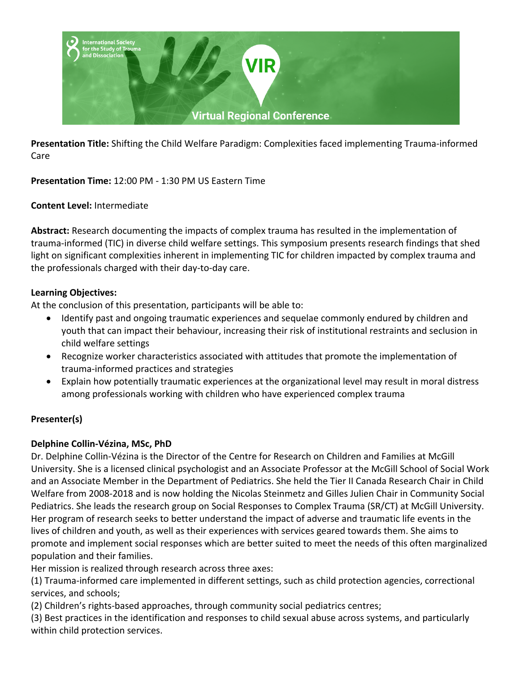

**Presentation Title:** Shifting the Child Welfare Paradigm: Complexities faced implementing Trauma-informed Care

**Presentation Time:** 12:00 PM - 1:30 PM US Eastern Time

# **Content Level:** Intermediate

**Abstract:** Research documenting the impacts of complex trauma has resulted in the implementation of trauma-informed (TIC) in diverse child welfare settings. This symposium presents research findings that shed light on significant complexities inherent in implementing TIC for children impacted by complex trauma and the professionals charged with their day-to-day care.

## **Learning Objectives:**

At the conclusion of this presentation, participants will be able to:

- Identify past and ongoing traumatic experiences and sequelae commonly endured by children and youth that can impact their behaviour, increasing their risk of institutional restraints and seclusion in child welfare settings
- Recognize worker characteristics associated with attitudes that promote the implementation of trauma-informed practices and strategies
- Explain how potentially traumatic experiences at the organizational level may result in moral distress among professionals working with children who have experienced complex trauma

## **Presenter(s)**

## **Delphine Collin-Vézina, MSc, PhD**

Dr. Delphine Collin-Vézina is the Director of the Centre for Research on Children and Families at McGill University. She is a licensed clinical psychologist and an Associate Professor at the McGill School of Social Work and an Associate Member in the Department of Pediatrics. She held the Tier II Canada Research Chair in Child Welfare from 2008-2018 and is now holding the Nicolas Steinmetz and Gilles Julien Chair in Community Social Pediatrics. She leads the research group on Social Responses to Complex Trauma (SR/CT) at McGill University. Her program of research seeks to better understand the impact of adverse and traumatic life events in the lives of children and youth, as well as their experiences with services geared towards them. She aims to promote and implement social responses which are better suited to meet the needs of this often marginalized population and their families.

Her mission is realized through research across three axes:

(1) Trauma-informed care implemented in different settings, such as child protection agencies, correctional services, and schools;

(2) Children's rights-based approaches, through community social pediatrics centres;

(3) Best practices in the identification and responses to child sexual abuse across systems, and particularly within child protection services.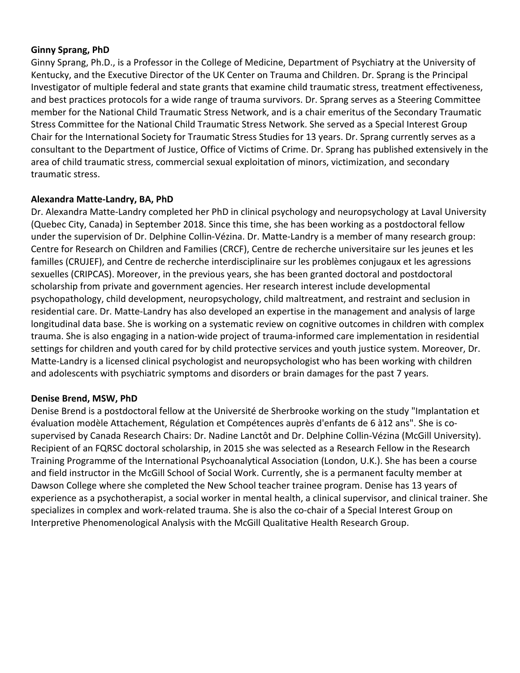#### **Ginny Sprang, PhD**

Ginny Sprang, Ph.D., is a Professor in the College of Medicine, Department of Psychiatry at the University of Kentucky, and the Executive Director of the UK Center on Trauma and Children. Dr. Sprang is the Principal Investigator of multiple federal and state grants that examine child traumatic stress, treatment effectiveness, and best practices protocols for a wide range of trauma survivors. Dr. Sprang serves as a Steering Committee member for the National Child Traumatic Stress Network, and is a chair emeritus of the Secondary Traumatic Stress Committee for the National Child Traumatic Stress Network. She served as a Special Interest Group Chair for the International Society for Traumatic Stress Studies for 13 years. Dr. Sprang currently serves as a consultant to the Department of Justice, Office of Victims of Crime. Dr. Sprang has published extensively in the area of child traumatic stress, commercial sexual exploitation of minors, victimization, and secondary traumatic stress.

### **Alexandra Matte-Landry, BA, PhD**

Dr. Alexandra Matte-Landry completed her PhD in clinical psychology and neuropsychology at Laval University (Quebec City, Canada) in September 2018. Since this time, she has been working as a postdoctoral fellow under the supervision of Dr. Delphine Collin-Vézina. Dr. Matte-Landry is a member of many research group: Centre for Research on Children and Families (CRCF), Centre de recherche universitaire sur les jeunes et les familles (CRUJEF), and Centre de recherche interdisciplinaire sur les problèmes conjugaux et les agressions sexuelles (CRIPCAS). Moreover, in the previous years, she has been granted doctoral and postdoctoral scholarship from private and government agencies. Her research interest include developmental psychopathology, child development, neuropsychology, child maltreatment, and restraint and seclusion in residential care. Dr. Matte-Landry has also developed an expertise in the management and analysis of large longitudinal data base. She is working on a systematic review on cognitive outcomes in children with complex trauma. She is also engaging in a nation-wide project of trauma-informed care implementation in residential settings for children and youth cared for by child protective services and youth justice system. Moreover, Dr. Matte-Landry is a licensed clinical psychologist and neuropsychologist who has been working with children and adolescents with psychiatric symptoms and disorders or brain damages for the past 7 years.

#### **Denise Brend, MSW, PhD**

Denise Brend is a postdoctoral fellow at the Université de Sherbrooke working on the study "Implantation et évaluation modèle Attachement, Régulation et Compétences auprès d'enfants de 6 à12 ans". She is cosupervised by Canada Research Chairs: Dr. Nadine Lanctôt and Dr. Delphine Collin-Vézina (McGill University). Recipient of an FQRSC doctoral scholarship, in 2015 she was selected as a Research Fellow in the Research Training Programme of the International Psychoanalytical Association (London, U.K.). She has been a course and field instructor in the McGill School of Social Work. Currently, she is a permanent faculty member at Dawson College where she completed the New School teacher trainee program. Denise has 13 years of experience as a psychotherapist, a social worker in mental health, a clinical supervisor, and clinical trainer. She specializes in complex and work-related trauma. She is also the co-chair of a Special Interest Group on Interpretive Phenomenological Analysis with the McGill Qualitative Health Research Group.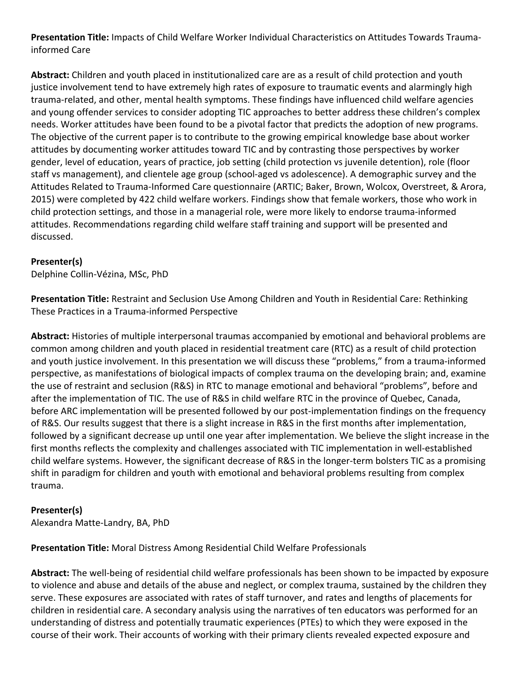**Presentation Title:** Impacts of Child Welfare Worker Individual Characteristics on Attitudes Towards Traumainformed Care

**Abstract:** Children and youth placed in institutionalized care are as a result of child protection and youth justice involvement tend to have extremely high rates of exposure to traumatic events and alarmingly high trauma-related, and other, mental health symptoms. These findings have influenced child welfare agencies and young offender services to consider adopting TIC approaches to better address these children's complex needs. Worker attitudes have been found to be a pivotal factor that predicts the adoption of new programs. The objective of the current paper is to contribute to the growing empirical knowledge base about worker attitudes by documenting worker attitudes toward TIC and by contrasting those perspectives by worker gender, level of education, years of practice, job setting (child protection vs juvenile detention), role (floor staff vs management), and clientele age group (school-aged vs adolescence). A demographic survey and the Attitudes Related to Trauma-Informed Care questionnaire (ARTIC; Baker, Brown, Wolcox, Overstreet, & Arora, 2015) were completed by 422 child welfare workers. Findings show that female workers, those who work in child protection settings, and those in a managerial role, were more likely to endorse trauma-informed attitudes. Recommendations regarding child welfare staff training and support will be presented and discussed.

# **Presenter(s)**

Delphine Collin-Vézina, MSc, PhD

**Presentation Title:** Restraint and Seclusion Use Among Children and Youth in Residential Care: Rethinking These Practices in a Trauma-informed Perspective

**Abstract:** Histories of multiple interpersonal traumas accompanied by emotional and behavioral problems are common among children and youth placed in residential treatment care (RTC) as a result of child protection and youth justice involvement. In this presentation we will discuss these "problems," from a trauma-informed perspective, as manifestations of biological impacts of complex trauma on the developing brain; and, examine the use of restraint and seclusion (R&S) in RTC to manage emotional and behavioral "problems", before and after the implementation of TIC. The use of R&S in child welfare RTC in the province of Quebec, Canada, before ARC implementation will be presented followed by our post-implementation findings on the frequency of R&S. Our results suggest that there is a slight increase in R&S in the first months after implementation, followed by a significant decrease up until one year after implementation. We believe the slight increase in the first months reflects the complexity and challenges associated with TIC implementation in well-established child welfare systems. However, the significant decrease of R&S in the longer-term bolsters TIC as a promising shift in paradigm for children and youth with emotional and behavioral problems resulting from complex trauma.

## **Presenter(s)**

Alexandra Matte-Landry, BA, PhD

## **Presentation Title:** Moral Distress Among Residential Child Welfare Professionals

**Abstract:** The well-being of residential child welfare professionals has been shown to be impacted by exposure to violence and abuse and details of the abuse and neglect, or complex trauma, sustained by the children they serve. These exposures are associated with rates of staff turnover, and rates and lengths of placements for children in residential care. A secondary analysis using the narratives of ten educators was performed for an understanding of distress and potentially traumatic experiences (PTEs) to which they were exposed in the course of their work. Their accounts of working with their primary clients revealed expected exposure and